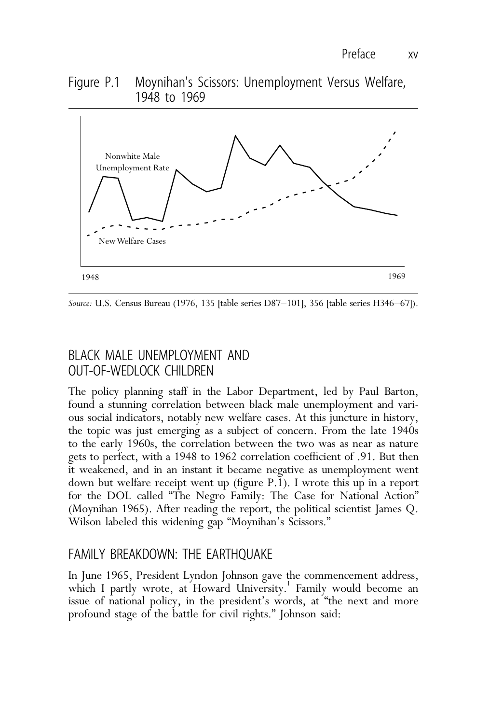#### Figure P.1 Moynihan's Scissors: Unemployment Versus Welfare, 1948 to 1969



*Source:* U.S. Census Bureau (1976, 135 [table series D87–101], 356 [table series H346–67]).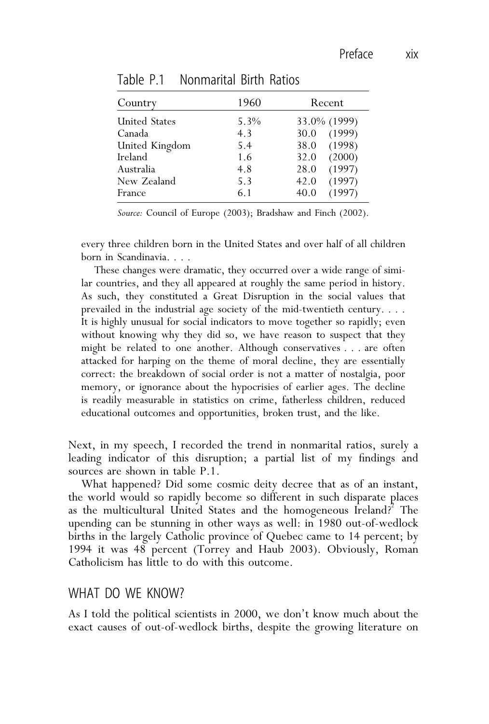## Table P.1 Nonmarital Birth Ratios

| Country              | 1960 | Recent         |
|----------------------|------|----------------|
| <b>United States</b> | 5.3% | 33.0% (1999)   |
| Canada               | 4.3  | (1999)<br>30.0 |
| United Kingdom       | 5.4  | (1998)<br>38.0 |
| Ireland              | 1.6  | (2000)<br>32.0 |
| Australia            | 4.8  | (1997)<br>28.0 |
| New Zealand          | 5.3  | (1997)<br>42.0 |
| France               | 6.1  | (1997)<br>40.0 |

*Source:* Council of Europe (2003); Bradshaw and Finch (2002).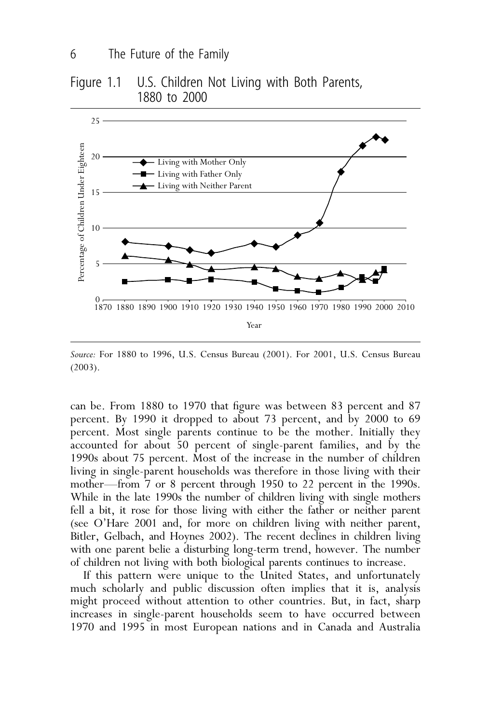## Figure 1.1 U.S. Children Not Living with Both Parents, 1880 to 2000



*Source:* For 1880 to 1996, U.S. Census Bureau (2001). For 2001, U.S. Census Bureau (2003).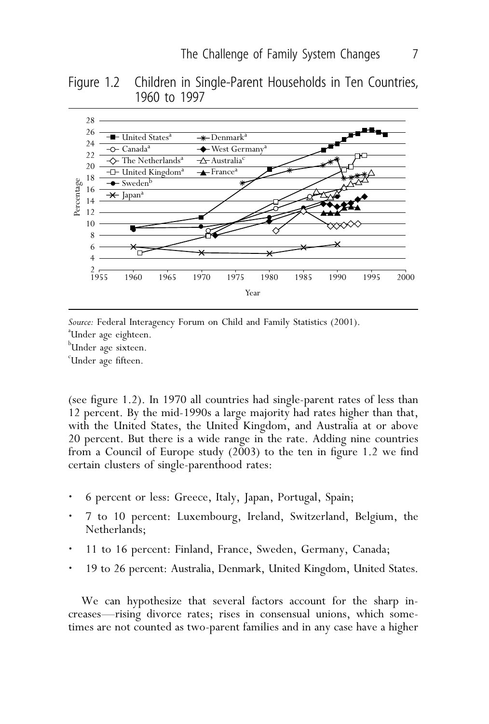Figure 1.2 Children in Single-Parent Households in Ten Countries, 1960 to 1997



Source: Federal Interagency Forum on Child and Family Statistics (2001). Under age eighteen. b<br>Under age sixteen. c Under age fifteen.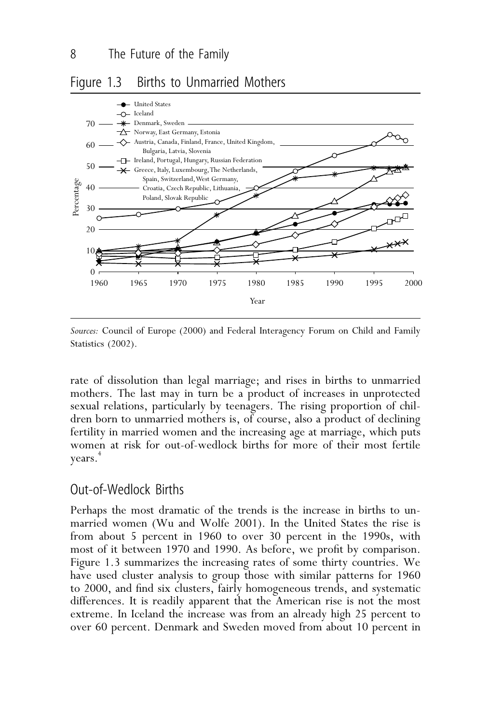# Figure 1.3 Births to Unmarried Mothers



*Sources:* Council of Europe (2000) and Federal Interagency Forum on Child and Family Statistics (2002).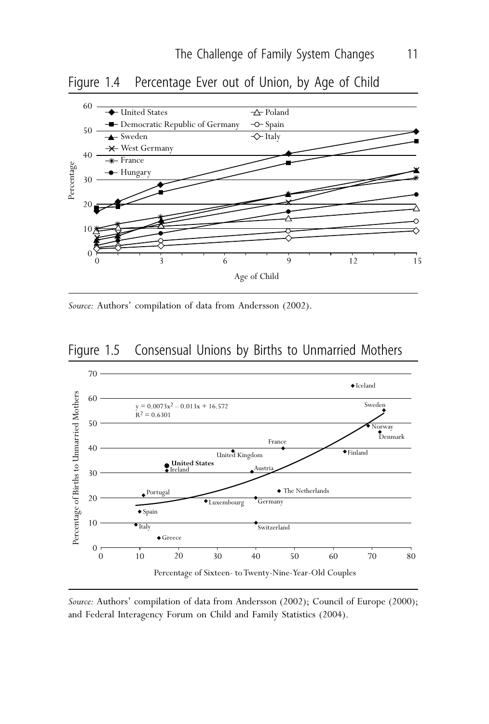



*Source:* Authors' compilation of data from Andersson (2002).





*Source:* Authors' compilation of data from Andersson (2002); Council of Europe (2000); and Federal Interagency Forum on Child and Family Statistics (2004).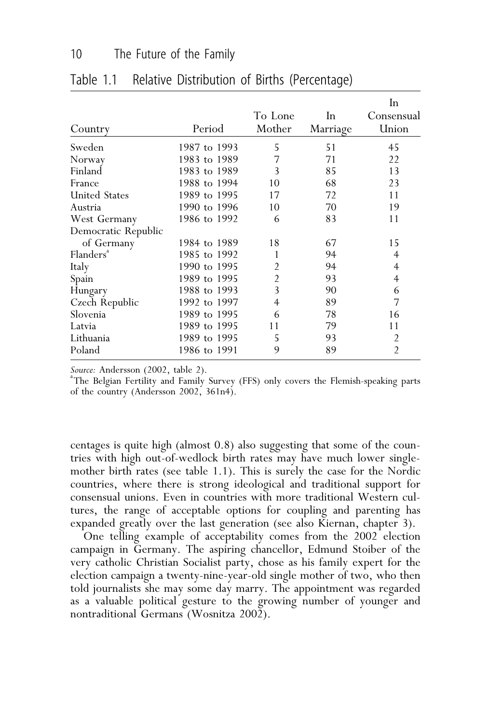|                       |              |                |          | In             |
|-----------------------|--------------|----------------|----------|----------------|
|                       |              | To Lone        | In       | Consensual     |
| Country               | Period       | Mother         | Marriage | Union          |
| Sweden                | 1987 to 1993 | 5              | 51       | 45             |
| Norway                | 1983 to 1989 | 7              | 71       | 22             |
| Finland               | 1983 to 1989 | 3              | 85       | 13             |
| France                | 1988 to 1994 | 10             | 68       | 23             |
| <b>United States</b>  | 1989 to 1995 | 17             | 72       | 11             |
| Austria               | 1990 to 1996 | 10             | 70       | 19             |
| West Germany          | 1986 to 1992 | 6              | 83       | 11             |
| Democratic Republic   |              |                |          |                |
| of Germany            | 1984 to 1989 | 18             | 67       | 15             |
| Flanders <sup>*</sup> | 1985 to 1992 | 1              | 94       | 4              |
| Italy                 | 1990 to 1995 | $\overline{2}$ | 94       | 4              |
| Spain                 | 1989 to 1995 | $\overline{2}$ | 93       | 4              |
| Hungary               | 1988 to 1993 | 3              | 90       | 6              |
| Czech Republic        | 1992 to 1997 | 4              | 89       | 7              |
| Slovenia              | 1989 to 1995 | 6              | 78       | 16             |
| Latvia                | 1989 to 1995 | 11             | 79       | 11             |
| Lithuania             | 1989 to 1995 | 5              | 93       | 2              |
| Poland                | 1986 to 1991 | 9              | 89       | $\overline{2}$ |

# Table 1.1 Relative Distribution of Births (Percentage)

Source: Andersson (2002, table 2).

The Belgian Fertility and Family Survey (FFS) only covers the Flemish-speaking parts of the country (Andersson 2002, 361n4).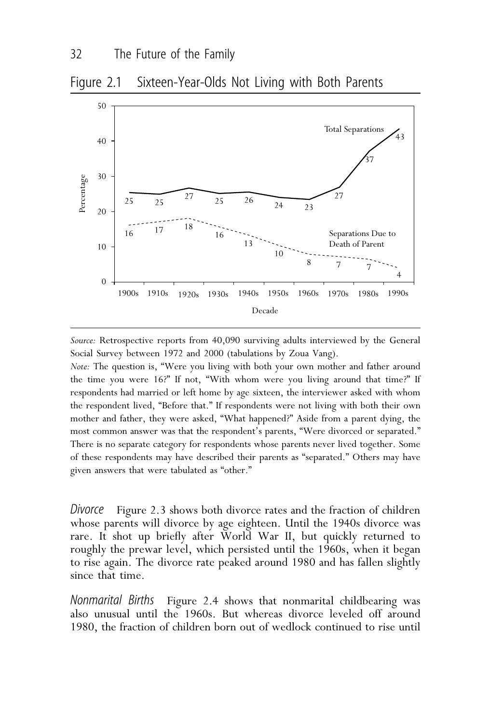



*Source:* Retrospective reports from 40,090 surviving adults interviewed by the General Social Survey between 1972 and 2000 (tabulations by Zoua Vang).

*Note:* The question is, "Were you living with both your own mother and father around the time you were 16?" If not, "With whom were you living around that time?" If respondents had married or left home by age sixteen, the interviewer asked with whom the respondent lived, "Before that." If respondents were not living with both their own mother and father, they were asked, "What happened?" Aside from a parent dying, the most common answer was that the respondent's parents, "Were divorced or separated." There is no separate category for respondents whose parents never lived together. Some of these respondents may have described their parents as "separated." Others may have given answers that were tabulated as "other."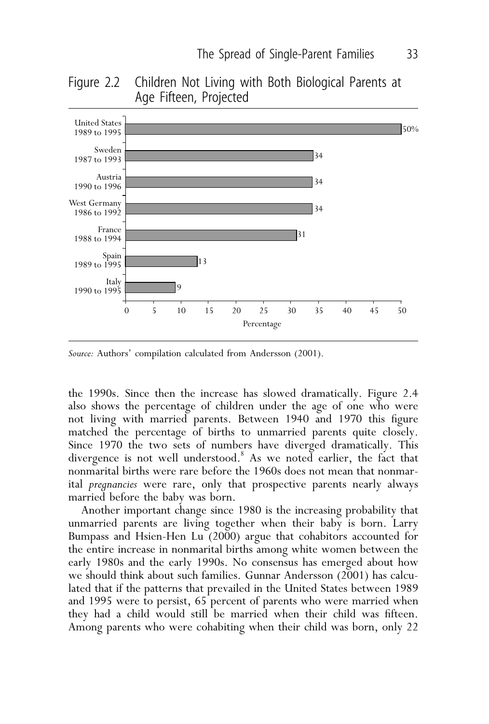## Figure 2.2 Children Not Living with Both Biological Parents at Age Fifteen, Projected



*Source:* Authors' compilation calculated from Andersson (2001).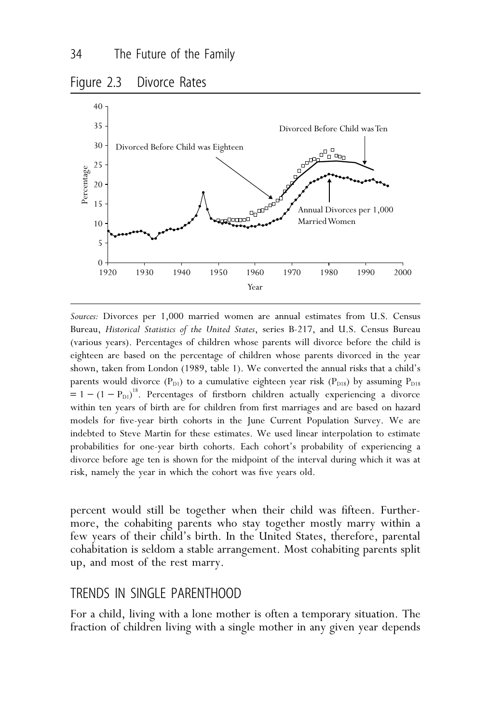

*Sources:* Divorces per 1,000 married women are annual estimates from U.S. Census Bureau, *Historical Statistics of the United States*, series B-217, and U.S. Census Bureau (various years). Percentages of children whose parents will divorce before the child is eighteen are based on the percentage of children whose parents divorced in the year shown, taken from London (1989, table 1). We converted the annual risks that a child's parents would divorce ( $P_{D1}$ ) to a cumulative eighteen year risk ( $P_{D18}$ ) by assuming  $P_{D18}$  $= 1 - (1 - P_{D1})^{18}$ . Percentages of firstborn children actually experiencing a divorce within ten years of birth are for children from first marriages and are based on hazard models for five-year birth cohorts in the June Current Population Survey. We are indebted to Steve Martin for these estimates. We used linear interpolation to estimate probabilities for one-year birth cohorts. Each cohort's probability of experiencing a divorce before age ten is shown for the midpoint of the interval during which it was at risk, namely the year in which the cohort was five years old.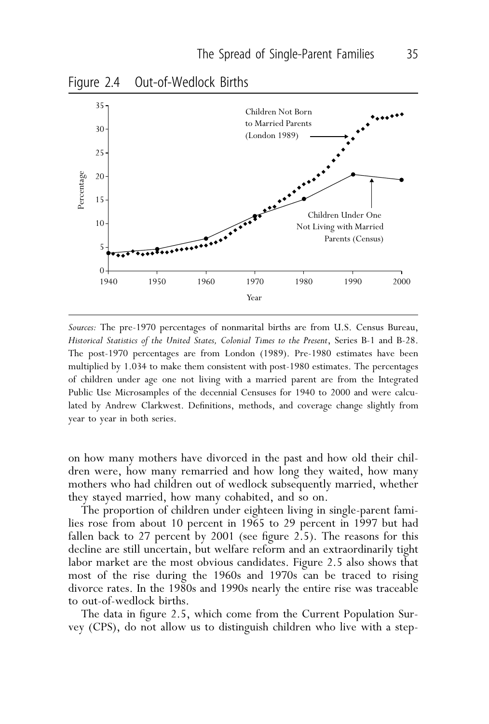

*Sources:* The pre-1970 percentages of nonmarital births are from U.S. Census Bureau, *Historical Statistics of the United States, Colonial Times to the Present*, Series B-1 and B-28. The post-1970 percentages are from London (1989). Pre-1980 estimates have been multiplied by 1.034 to make them consistent with post-1980 estimates. The percentages of children under age one not living with a married parent are from the Integrated Public Use Microsamples of the decennial Censuses for 1940 to 2000 and were calculated by Andrew Clarkwest. Definitions, methods, and coverage change slightly from year to year in both series.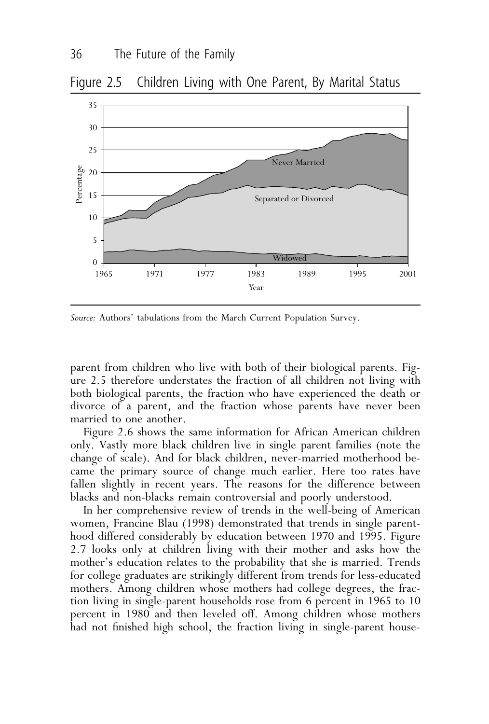# Figure 2.5 Children Living with One Parent, By Marital Status



*Source:* Authors' tabulations from the March Current Population Survey.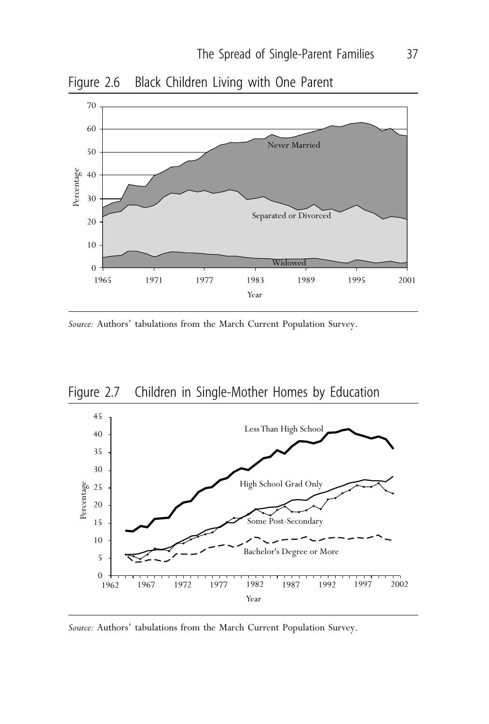



*Source:* Authors' tabulations from the March Current Population Survey.





*Source:* Authors' tabulations from the March Current Population Survey.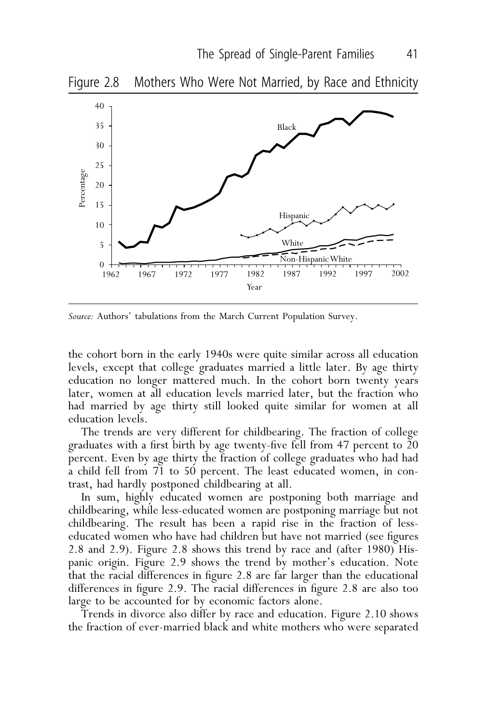

*Source:* Authors' tabulations from the March Current Population Survey.

## Figure 2.8 Mothers Who Were Not Married, by Race and Ethnicity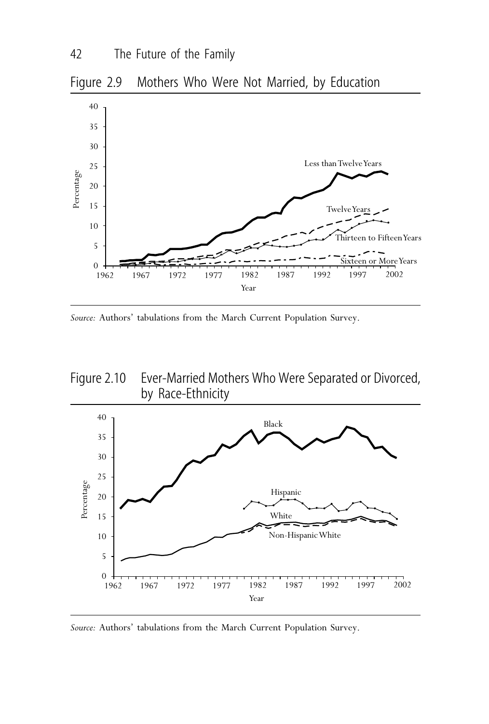



*Source:* Authors' tabulations from the March Current Population Survey.





*Source:* Authors' tabulations from the March Current Population Survey.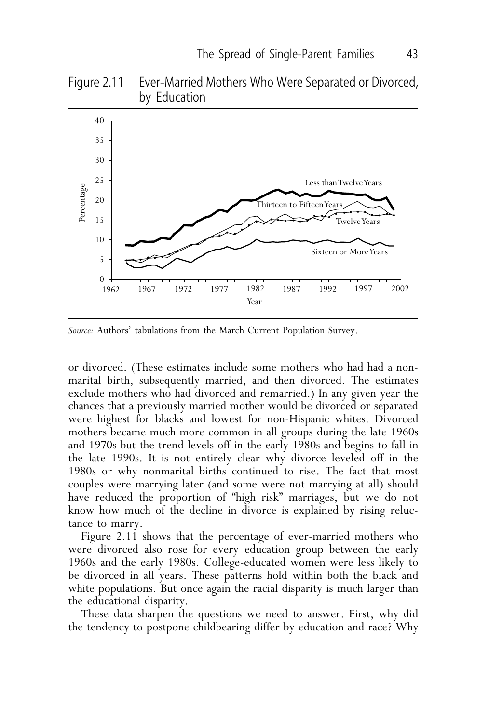## Figure 2.11 Ever-Married Mothers Who Were Separated or Divorced, by Education



*Source:* Authors' tabulations from the March Current Population Survey.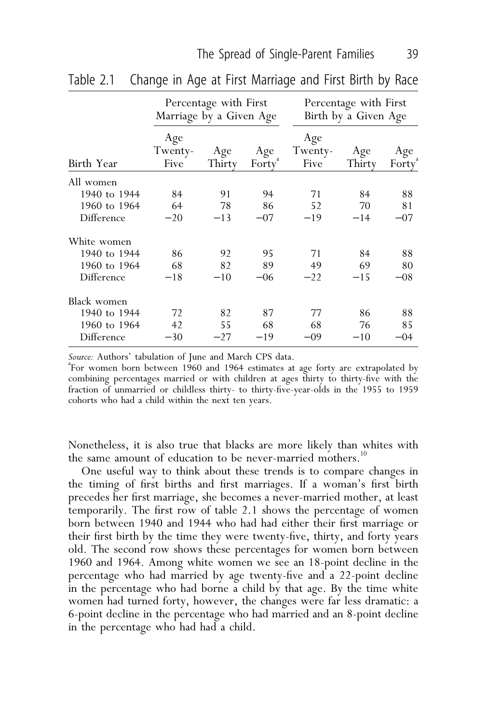|              | Percentage with First<br>Marriage by a Given Age |               |                           | Percentage with First<br>Birth by a Given Age |               |                           |
|--------------|--------------------------------------------------|---------------|---------------------------|-----------------------------------------------|---------------|---------------------------|
| Birth Year   | Age<br>Twenty-<br>Five                           | Age<br>Thirty | Age<br>Forty <sup>ª</sup> | Age<br>Twenty-<br>Five                        | Age<br>Thirty | Age<br>Forty <sup>"</sup> |
| All women    |                                                  |               |                           |                                               |               |                           |
| 1940 to 1944 | 84                                               | 91            | 94                        | 71                                            | 84            | 88                        |
| 1960 to 1964 | 64                                               | 78            | 86                        | 52                                            | 70            | 81                        |
| Difference   | $-20$                                            | $-13$         | $-07$                     | $-19$                                         | $-14$         | $-07$                     |
| White women  |                                                  |               |                           |                                               |               |                           |
| 1940 to 1944 | 86                                               | 92            | 95                        | 71                                            | 84            | 88                        |
| 1960 to 1964 | 68                                               | 82            | 89                        | 49                                            | 69            | 80                        |
| Difference   | $-18$                                            | $-10$         | $-06$                     | $-22$                                         | $-15$         | $-08$                     |
| Black women  |                                                  |               |                           |                                               |               |                           |
| 1940 to 1944 | 72                                               | 82            | 87                        | 77                                            | 86            | 88                        |
| 1960 to 1964 | 42                                               | 55            | 68                        | 68                                            | 76            | 85                        |
| Difference   | $-30$                                            | $-27$         | $-19$                     | $-09$                                         | $-10$         | -04                       |

Table 2.1 Change in Age at First Marriage and First Birth by Race

Source: Authors' tabulation of June and March CPS data.

For women born between 1960 and 1964 estimates at age forty are extrapolated by combining percentages married or with children at ages thirty to thirty-five with the fraction of unmarried or childless thirty- to thirty-five-year-olds in the 1955 to 1959 cohorts who had a child within the next ten years.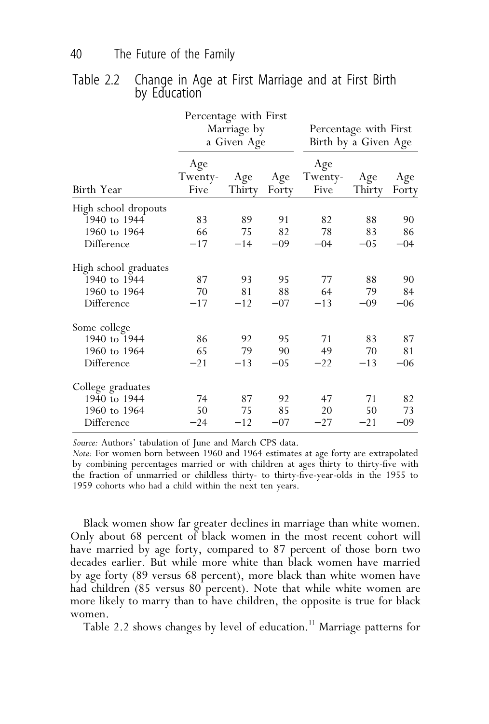|                       |                        | Percentage with First<br>Marriage by<br>a Given Age |              |                        | Percentage with First<br>Birth by a Given Age |              |
|-----------------------|------------------------|-----------------------------------------------------|--------------|------------------------|-----------------------------------------------|--------------|
| Birth Year            | Age<br>Twenty-<br>Five | Age<br>Thirty                                       | Age<br>Forty | Age<br>Twenty-<br>Five | Age<br>Thirty                                 | Age<br>Forty |
| High school dropouts  |                        |                                                     |              |                        |                                               |              |
| 1940 to 1944          | 83                     | 89                                                  | 91           | 82                     | 88                                            | 90           |
| 1960 to 1964          | 66                     | 75                                                  | 82           | 78                     | 83                                            | 86           |
| Difference            | $-17$                  | $-14$                                               | $-09$        | $-04$                  | $-05$                                         | $-04$        |
| High school graduates |                        |                                                     |              |                        |                                               |              |
| 1940 to 1944          | 87                     | 93                                                  | 95           | 77                     | 88                                            | 90           |
| 1960 to 1964          | 70                     | 81                                                  | 88           | 64                     | 79                                            | 84           |
| Difference            | $-17$                  | $-12$                                               | $-07$        | $-13$                  | $-09$                                         | $-06$        |
| Some college          |                        |                                                     |              |                        |                                               |              |
| 1940 to 1944          | 86                     | 92                                                  | 95           | 71                     | 83                                            | 87           |
| 1960 to 1964          | 65                     | 79                                                  | 90           | 49                     | 70                                            | 81           |
| Difference            | $-21$                  | $-13$                                               | $-05$        | $-22$                  | $-13$                                         | $-06$        |
| College graduates     |                        |                                                     |              |                        |                                               |              |
| 1940 to 1944          | 74                     | 87                                                  | 92           | 47                     | 71                                            | 82           |
| 1960 to 1964          | 50                     | 75                                                  | 85           | 20                     | 50                                            | 73           |
| Difference            | $-24$                  | $-12$                                               | $-07$        | $-27$                  | $-21$                                         | $-09$        |

Table 2.2 Change in Age at First Marriage and at First Birth by Education

*Source:* Authors' tabulation of June and March CPS data.

*Note:* For women born between 1960 and 1964 estimates at age forty are extrapolated by combining percentages married or with children at ages thirty to thirty-five with the fraction of unmarried or childless thirty- to thirty-five-year-olds in the 1955 to 1959 cohorts who had a child within the next ten years.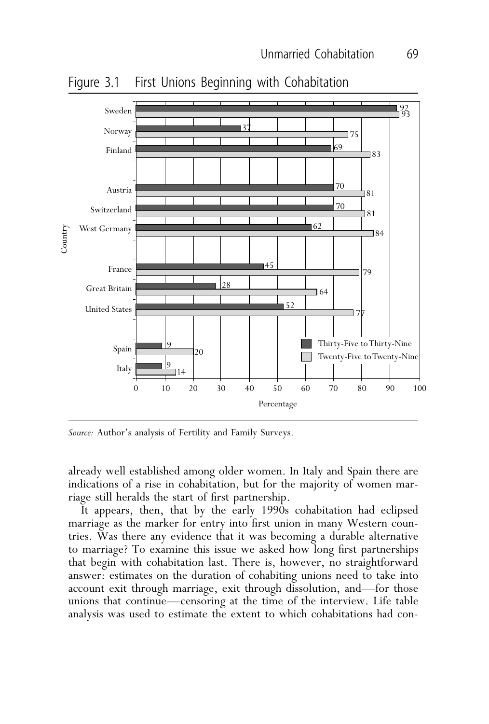Figure 3.1 First Unions Beginning with Cohabitation



*Source:* Author's analysis of Fertility and Family Surveys.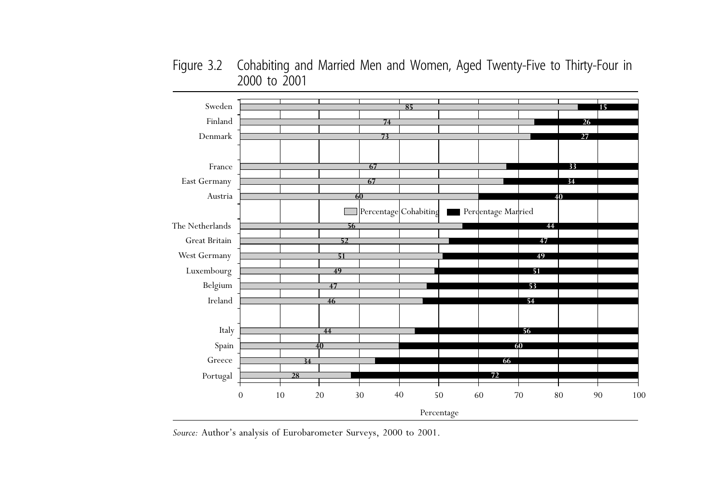Figure 3.2 Cohabiting and Married Men and Women, Aged Twenty-Five to Thirty-Four in to 2001



*Source:* Author's analysis of Eurobarometer Surveys, <sup>2000</sup> to 2001.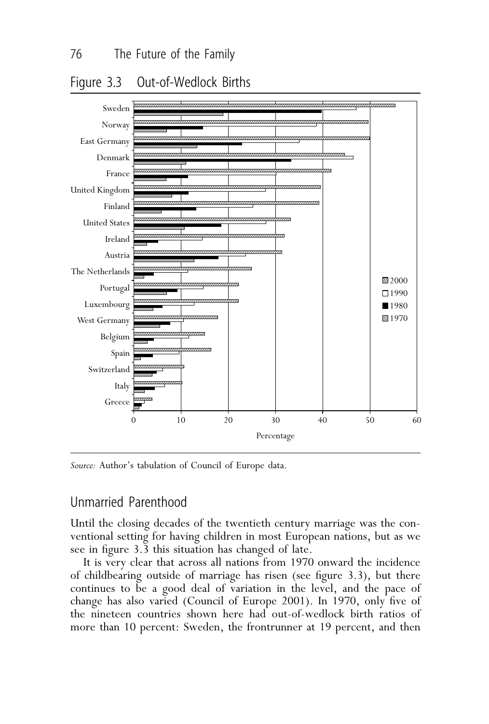# Figure 3.3 Out-of-Wedlock Births



*Source:* Author's tabulation of Council of Europe data.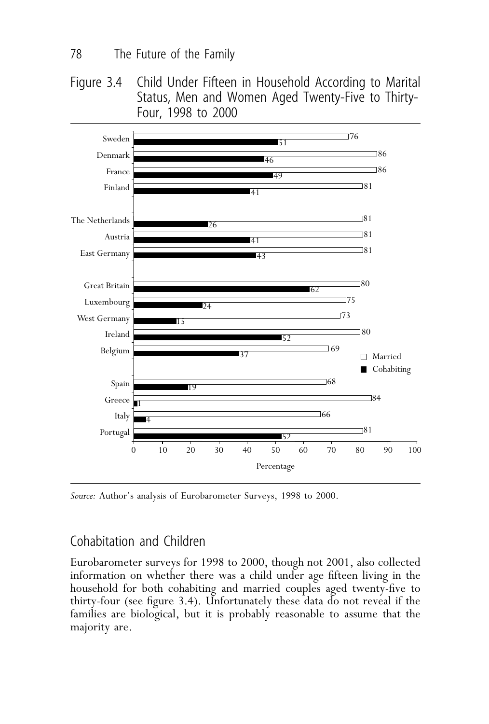Figure 3.4 Child Under Fifteen in Household According to Marital Status, Men and Women Aged Twenty-Five to Thirty-Four, 1998 to 2000



*Source:* Author's analysis of Eurobarometer Surveys, 1998 to 2000.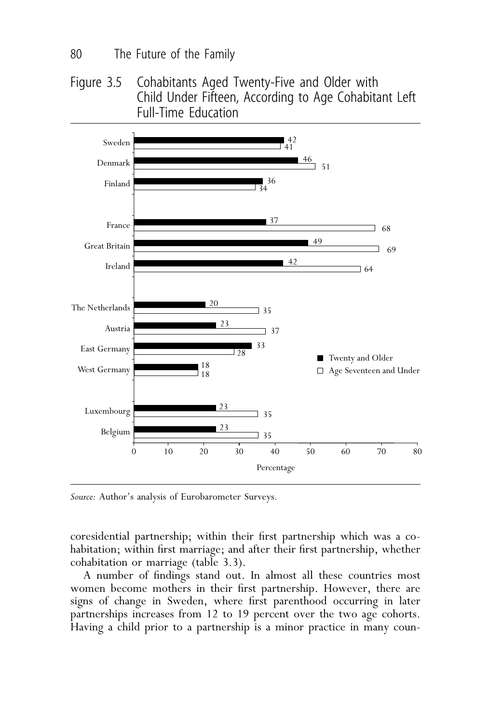Figure 3.5 Cohabitants Aged Twenty-Five and Older with Child Under Fifteen, According to Age Cohabitant Left Full-Time Education



*Source:* Author's analysis of Eurobarometer Surveys.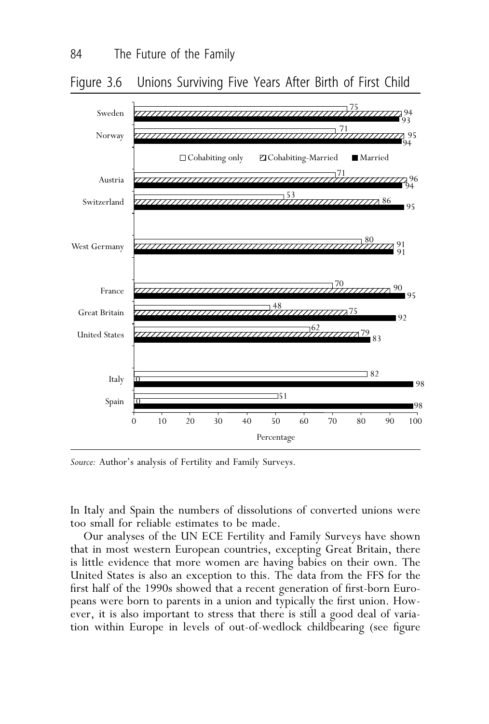## Figure 3.6 Unions Surviving Five Years After Birth of First Child



*Source:* Author's analysis of Fertility and Family Surveys.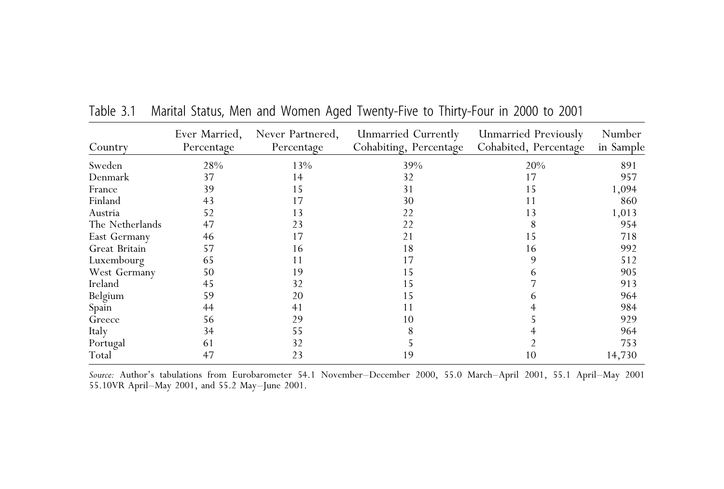| Country         | Ever Married,<br>Percentage | Never Partnered,<br>Percentage | Unmarried Currently<br>Cohabiting, Percentage | Unmarried Previously<br>Cohabited, Percentage | Number<br>in Sample |
|-----------------|-----------------------------|--------------------------------|-----------------------------------------------|-----------------------------------------------|---------------------|
| Sweden          | 28%                         | 13%                            | 39%                                           | 20%                                           | 891                 |
| Denmark         | 37                          | 14                             | 32                                            | 17                                            | 957                 |
| France          | 39                          | 15                             | 31                                            | 15                                            | 1,094               |
| Finland         | 43                          | 17                             | 30                                            | 11                                            | 860                 |
| Austria         | 52                          | 13                             | 22                                            | 13                                            | 1,013               |
| The Netherlands | 47                          | 23                             | 22                                            |                                               | 954                 |
| East Germany    | 46                          | 17                             | 21                                            | 15                                            | 718                 |
| Great Britain   | 57                          | 16                             | 18                                            | 16                                            | 992                 |
| Luxembourg      | 65                          | 11                             | 17                                            | 9                                             | 512                 |
| West Germany    | 50                          | 19                             | 15                                            | h                                             | 905                 |
| Ireland         | 45                          | 32                             | 15                                            |                                               | 913                 |
| Belgium         | 59                          | 20                             | 15                                            |                                               | 964                 |
| Spain           | 44                          | 41                             | 11                                            |                                               | 984                 |
| Greece          | 56                          | 29                             | 10                                            |                                               | 929                 |
| Italy           | 34                          | 55                             |                                               |                                               | 964                 |
| Portugal        | 61                          | 32                             |                                               |                                               | 753                 |
| Total           | 47                          | 23                             | 19                                            | 10                                            | 14,730              |

Table 3.1 Marital Status, Men and Women Aged Twenty-Five to Thirty-Four in 2000 to 2001

*Source:* Author's tabulations from Eurobarometer 54.1 November–December 2000, 55.0 March–April 2001, 55.1 April–May <sup>2001</sup> 55.10VR April–May 2001, and 55.2 May–June 2001.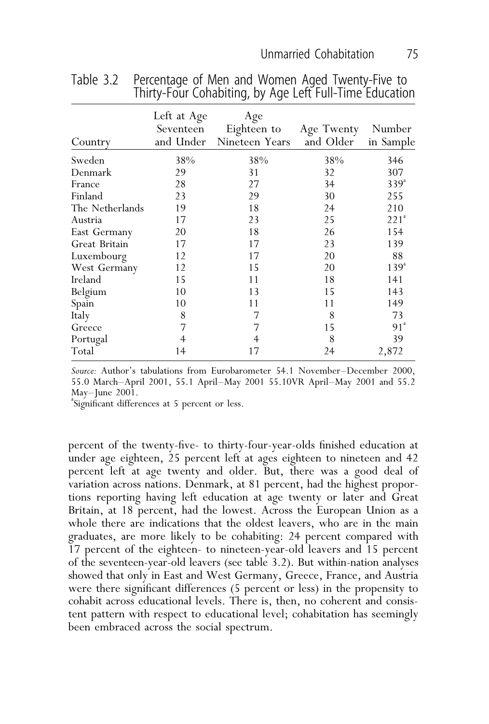| Country         | Left at Age<br>Seventeen<br>and Under | Age<br>Eighteen to<br>Nineteen Years | Age Twenty Number<br>and Older | in Sample        |
|-----------------|---------------------------------------|--------------------------------------|--------------------------------|------------------|
| Sweden          | 38%                                   | 38%                                  | 38%                            | 346              |
| Denmark         | 29                                    | 31                                   | 32                             | 307              |
| France          | 28                                    | 27                                   | 34                             | $339^{\circ}$    |
| Finland         | 23                                    | 29                                   | 30                             | 255              |
| The Netherlands | 19                                    | 18                                   | 24                             | 210              |
| Austria         | 17                                    | 23                                   | 25                             | 221 <sup>a</sup> |
| East Germany    | 20                                    | 18                                   | 26                             | 154              |
| Great Britain   | 17                                    | 17                                   | 23                             | 139              |
| Luxembourg      | 12                                    | 17                                   | 20                             | 88               |
| West Germany    | 12                                    | 15                                   | 20                             | $139^{a}$        |
| Ireland         | 15                                    | 11                                   | 18                             | 141              |
| Belgium         | 10                                    | 13                                   | 15                             | 143              |
| Spain           | 10                                    | 11                                   | 11                             | 149              |
| Italy           | 8                                     | 7                                    | 8                              | 73               |
| Greece          | 7                                     | 7                                    | 15                             | 91 <sup>a</sup>  |
| Portugal        | 4                                     | 4                                    | 8                              | 39               |
| Total           | 14                                    | 17                                   | 24                             | 2,872            |

Table 3.2 Percentage of Men and Women Aged Twenty-Five to Thirty-Four Cohabiting, by Age Left Full-Time Education

*Source:* Author's tabulations from Eurobarometer 54.1 November–December 2000, 55.0 March–April 2001, 55.1 April–May 2001 55.10VR April–May 2001 and 55.2 May–June 2001.

a Significant differences at 5 percent or less.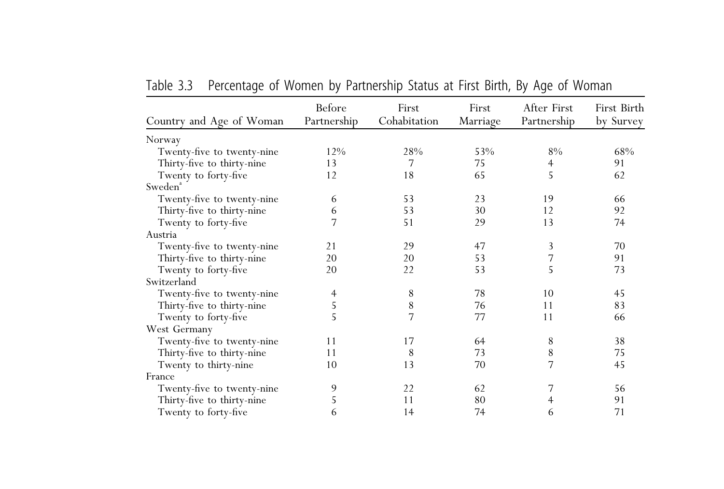|                            | Before      | First        | First    | After First | First Birth |
|----------------------------|-------------|--------------|----------|-------------|-------------|
| Country and Age of Woman   | Partnership | Cohabitation | Marriage | Partnership | by Survey   |
| Norway                     |             |              |          |             |             |
| Twenty-five to twenty-nine | 12%         | 28%          | 53%      | 8%          | 68%         |
| Thirty-five to thirty-nine | 13          | 7            | 75       | 4           | 91          |
| Twenty to forty-five       | 12          | 18           | 65       | 5           | 62          |
| Sweden <sup>a</sup>        |             |              |          |             |             |
| Twenty-five to twenty-nine | 6           | 53           | 23       | 19          | 66          |
| Thirty-five to thirty-nine | 6           | 53           | 30       | 12          | 92          |
| Twenty to forty-five       | 7           | 51           | 29       | 13          | 74          |
| Austria                    |             |              |          |             |             |
| Twenty-five to twenty-nine | 21          | 29           | 47       | 3           | 70          |
| Thirty-five to thirty-nine | 20          | 20           | 53       | 7           | 91          |
| Twenty to forty-five       | 20          | 22           | 53       | 5           | 73          |
| Switzerland                |             |              |          |             |             |
| Twenty-five to twenty-nine | 4           | 8            | 78       | 10          | 45          |
| Thirty-five to thirty-nine | 5           | 8            | 76       | 11          | 83          |
| Twenty to forty-five       | 5           | 7            | 77       | 11          | 66          |
| West Germany               |             |              |          |             |             |
| Twenty-five to twenty-nine | 11          | 17           | 64       | 8           | 38          |
| Thirty-five to thirty-nine | 11          | 8            | 73       | 8           | 75          |
| Twenty to thirty-nine      | 10          | 13           | 70       | 7           | 45          |
| France                     |             |              |          |             |             |
| Twenty-five to twenty-nine | 9           | 22           | 62       | 7           | 56          |
| Thirty-five to thirty-nine | 5           | 11           | 80       | 4           | 91          |
| Twenty to forty-five       | 6           | 14           | 74       | 6           | 71          |

| Table 3.3 |  | Percentage of Women by Partnership Status at First Birth, By Age of Woman |  |  |
|-----------|--|---------------------------------------------------------------------------|--|--|
|           |  |                                                                           |  |  |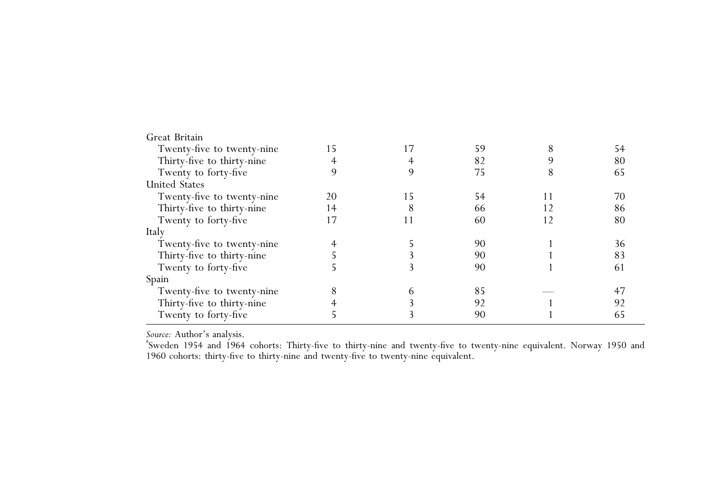| Great Britain              |    |    |    |   |    |
|----------------------------|----|----|----|---|----|
| Twenty-five to twenty-nine | 15 | 17 | 59 |   | 54 |
| Thirty-five to thirty-nine |    |    | 82 |   | 80 |
| Twenty to forty-five       |    |    | 75 | δ | 65 |
| <b>United States</b>       |    |    |    |   |    |
| Twenty-five to twenty-nine | 20 | 15 | 54 |   | 70 |
| Thirty-five to thirty-nine | 14 | 8  | 66 |   | 86 |
| Twenty to forty-five       | 17 | 11 | 60 |   | 80 |
| Italy                      |    |    |    |   |    |
| Twenty-five to twenty-nine |    |    | 90 |   | 36 |
| Thirty-five to thirty-nine |    |    | 90 |   | 83 |
| Twenty to forty-five       |    |    | 90 |   | 61 |
| Spain                      |    |    |    |   |    |
| Twenty-five to twenty-nine |    | 6  | 85 |   | 47 |
| Thirty-five to thirty-nine |    |    | 92 |   | 92 |
| Twenty to forty-five       |    |    | 90 |   | 65 |
|                            |    |    |    |   |    |

Source: Author's analysis.

*Source:* Author's analysis.<br><sup>8</sup>Sweden 1954 and 1964 cohorts: Thirty-five to thirty-nine and twenty-five to twenty-nine equivalent. Norway 1950 and <sup>1960</sup> cohorts: thirty-five to thirty-nine and twenty-five to twenty-nine equivalent.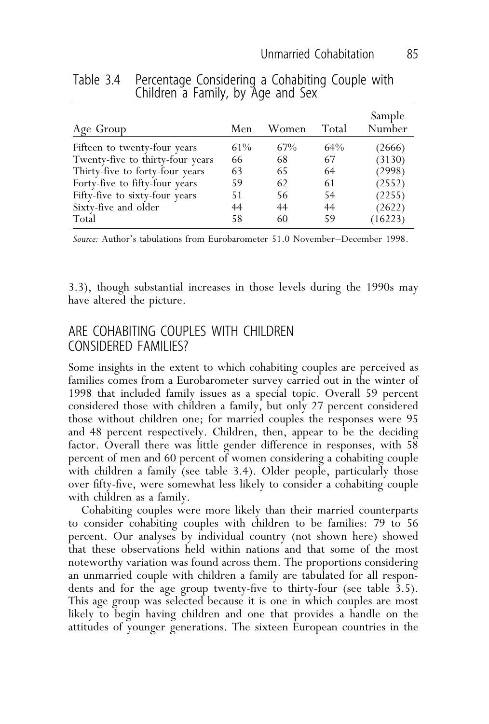# Table 3.4 Percentage Considering a Cohabiting Couple with Children a Family, by Age and Sex

| Age Group                        | Men | Women | Total | Sample<br>Number |
|----------------------------------|-----|-------|-------|------------------|
| Fifteen to twenty-four years     | 61% | 67%   | 64%   | (2666)           |
| Twenty-five to thirty-four years | 66  | 68    | 67    | (3130)           |
| Thirty-five to forty-four years  | 63  | 65    | 64    | (2998)           |
| Forty-five to fifty-four years   | 59  | 62    | 61    | (2552)           |
| Fifty-five to sixty-four years   | 51  | 56    | 54    | (2255)           |
| Sixty-five and older             | 44  | 44    | 44    | (2622)           |
| Total                            | 58  | 60    | 59    | (16223)          |

*Source:* Author's tabulations from Eurobarometer 51.0 November–December 1998.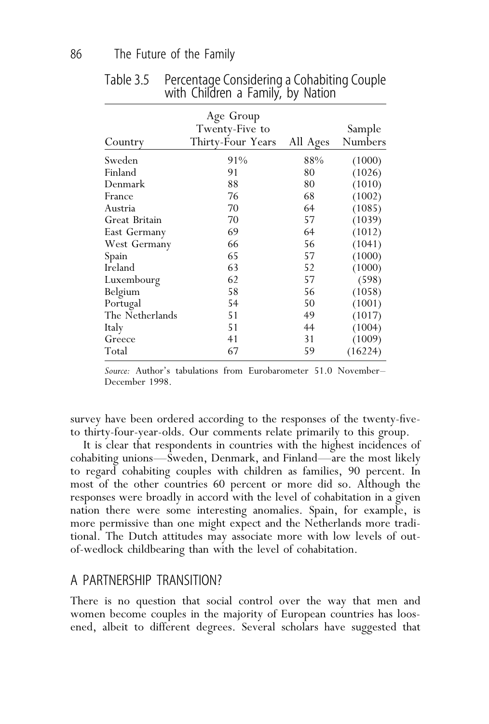| Country         | Age Group<br>Twenty-Five to<br>Thirty-Four Years | All Ages | Sample<br>Numbers |
|-----------------|--------------------------------------------------|----------|-------------------|
| Sweden          | 91%                                              | 88%      | (1000)            |
| Finland         | 91                                               | 80       | (1026)            |
| Denmark         | 88                                               | 80       | (1010)            |
| France          | 76                                               | 68       | (1002)            |
| Austria         | 70                                               | 64       | (1085)            |
| Great Britain   | 70                                               | 57       | (1039)            |
| East Germany    | 69                                               | 64       | (1012)            |
| West Germany    | 66                                               | 56       | (1041)            |
| Spain           | 65                                               | 57       | (1000)            |
| Ireland         | 63                                               | 52       | (1000)            |
| Luxembourg      | 62                                               | 57       | (598)             |
| Belgium         | 58                                               | 56       | (1058)            |
| Portugal        | 54                                               | 50       | (1001)            |
| The Netherlands | 51                                               | 49       | (1017)            |
| Italy           | 51                                               | 44       | (1004)            |
| Greece          | 41                                               | 31       | (1009)            |
| Total           | 67                                               | 59       | (16224)           |

Table 3.5 Percentage Considering a Cohabiting Couple with Children a Family, by Nation

*Source:* Author's tabulations from Eurobarometer 51.0 November– December 1998.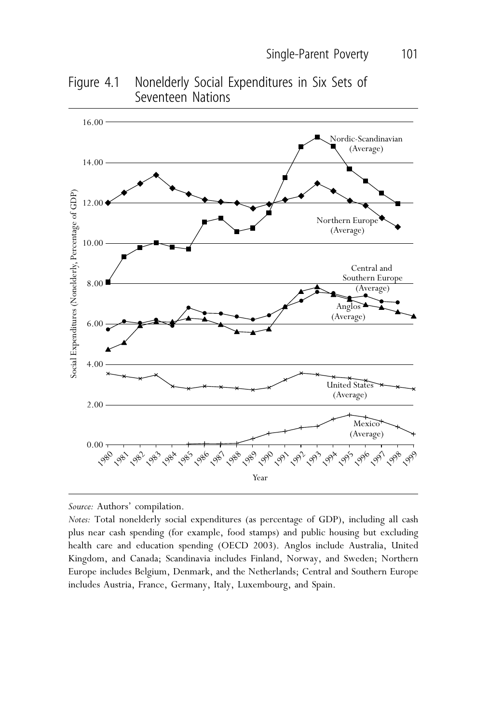

Figure 4.1 Nonelderly Social Expenditures in Six Sets of Seventeen Nations

*Source:* Authors' compilation.

0.00

*Notes:* Total nonelderly social expenditures (as percentage of GDP), including all cash plus near cash spending (for example, food stamps) and public housing but excluding health care and education spending (OECD 2003). Anglos include Australia, United Kingdom, and Canada; Scandinavia includes Finland, Norway, and Sweden; Northern Europe includes Belgium, Denmark, and the Netherlands; Central and Southern Europe includes Austria, France, Germany, Italy, Luxembourg, and Spain.

لي المهاجم المجمع المعارض المجمود المجمود المجمود المجمود المجمود المجمود المجمود المجمود المجمود المجمود المجمود

Year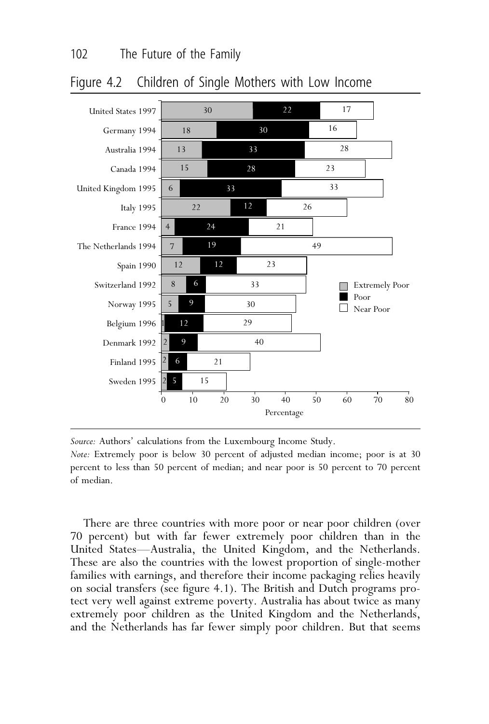



*Source:* Authors' calculations from the Luxembourg Income Study.

*Note:* Extremely poor is below 30 percent of adjusted median income; poor is at 30 percent to less than 50 percent of median; and near poor is 50 percent to 70 percent of median.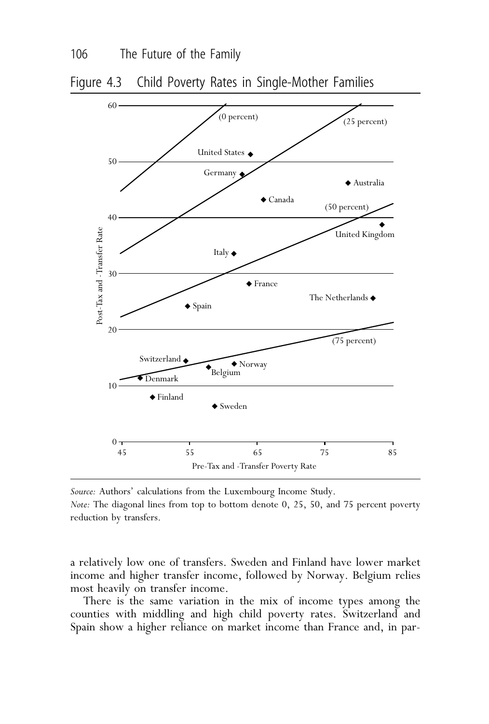

Figure 4.3 Child Poverty Rates in Single-Mother Families

*Source:* Authors' calculations from the Luxembourg Income Study. *Note:* The diagonal lines from top to bottom denote 0, 25, 50, and 75 percent poverty reduction by transfers.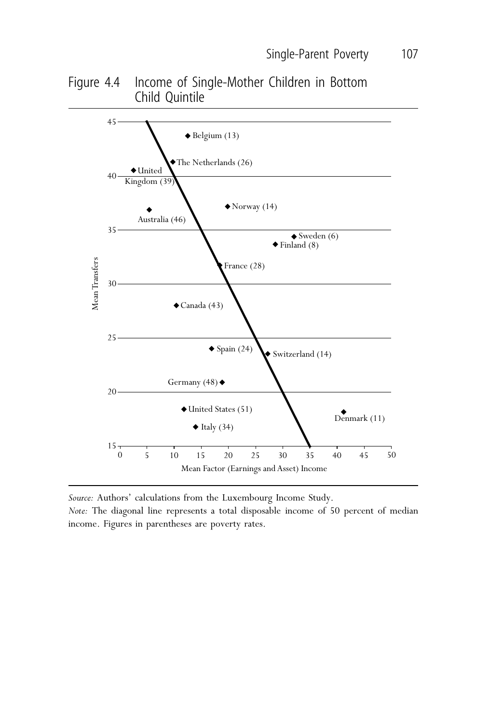Figure 4.4 Income of Single-Mother Children in Bottom Child Quintile



*Source:* Authors' calculations from the Luxembourg Income Study.

*Note:* The diagonal line represents a total disposable income of 50 percent of median income. Figures in parentheses are poverty rates.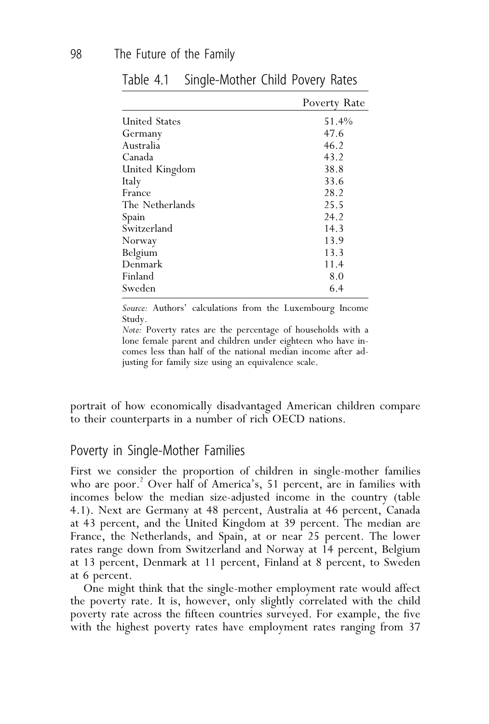|                      | Poverty Rate |
|----------------------|--------------|
| <b>United States</b> | 51.4%        |
| Germany              | 47.6         |
| Australia            | 46.2         |
| Canada               | 43.2         |
| United Kingdom       | 38.8         |
| Italy                | 33.6         |
| France               | 28.2         |
| The Netherlands      | 25.5         |
| Spain                | 24.2         |
| Switzerland          | 14.3         |
| Norway               | 13.9         |
| Belgium              | 13.3         |
| Denmark              | 11.4         |
| Finland              | 8.0          |
| Sweden               | 6.4          |

Table 4.1 Single-Mother Child Povery Rates

*Source:* Authors' calculations from the Luxembourg Income Study.

*Note:* Poverty rates are the percentage of households with a lone female parent and children under eighteen who have incomes less than half of the national median income after adjusting for family size using an equivalence scale.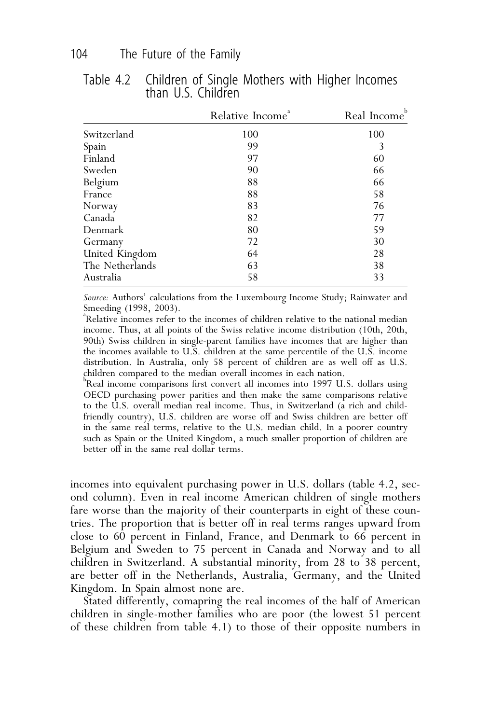|                 | Relative Income <sup>ª</sup> | Real Income |
|-----------------|------------------------------|-------------|
| Switzerland     | 100                          | 100         |
| Spain           | 99                           | 3           |
| Finland         | 97                           | 60          |
| Sweden          | 90                           | 66          |
| Belgium         | 88                           | 66          |
| France          | 88                           | 58          |
| Norway          | 83                           | 76          |
| Canada          | 82                           | 77          |
| Denmark         | 80                           | 59          |
| Germany         | 72                           | 30          |
| United Kingdom  | 64                           | 28          |
| The Netherlands | 63                           | 38          |
| Australia       | 58                           | 33          |
|                 |                              |             |

Table 4.2 Children of Single Mothers with Higher Incomes than U.S. Children

*Source:* Authors' calculations from the Luxembourg Income Study; Rainwater and Smeeding (1998, 2003).

<sup>a</sup>Relative incomes refer to the incomes of children relative to the national median income. Thus, at all points of the Swiss relative income distribution (10th, 20th, 90th) Swiss children in single-parent families have incomes that are higher than the incomes available to  $U.\bar{S}$ . children at the same percentile of the  $U.\bar{S}$ . income distribution. In Australia, only 58 percent of children are as well off as U.S. children compared to the median overall incomes in each nation.

 $^{\rm b}$ Real income $\stackrel{\text{\rm \bf{1}}}{\text{\rm \bf{1}}}$  comparisons first convert all incomes into 1997 U.S. dollars using OECD purchasing power parities and then make the same comparisons relative to the U.S. overall median real income. Thus, in Switzerland (a rich and childfriendly country), U.S. children are worse off and Swiss children are better off in the same real terms, relative to the U.S. median child. In a poorer country such as Spain or the United Kingdom, a much smaller proportion of children are better off in the same real dollar terms.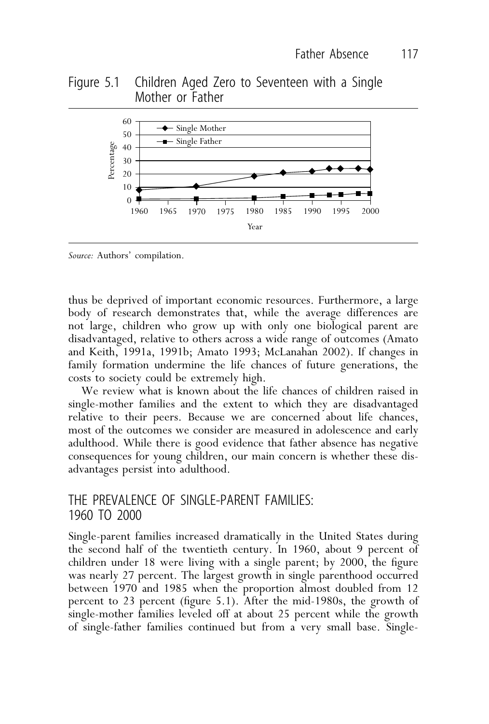## Figure 5.1 Children Aged Zero to Seventeen with a Single Mother or Father



*Source:* Authors' compilation.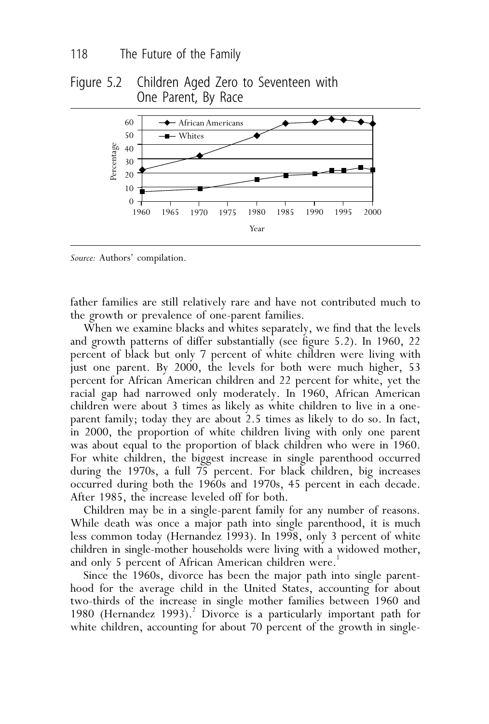## Figure 5.2 Children Aged Zero to Seventeen with One Parent, By Race



*Source:* Authors' compilation.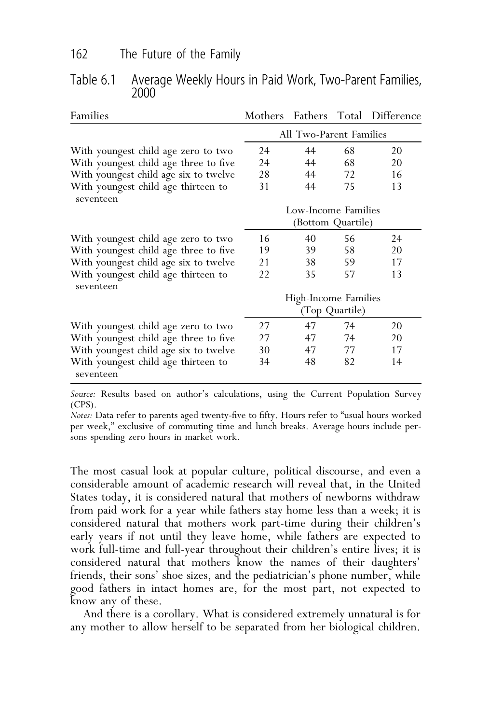| Families                                         |                                        |                     |    | Mothers Fathers Total Difference |
|--------------------------------------------------|----------------------------------------|---------------------|----|----------------------------------|
|                                                  | All Two-Parent Families                |                     |    |                                  |
| With youngest child age zero to two              | 24                                     | 44                  | 68 | 20                               |
| With youngest child age three to five            | 24                                     | 44                  | 68 | 20                               |
| With youngest child age six to twelve            | 28                                     | 44                  | 72 | 16                               |
| With youngest child age thirteen to<br>seventeen | 31                                     | 44                  | 75 | 13                               |
|                                                  |                                        | Low-Income Families |    |                                  |
|                                                  |                                        | (Bottom Quartile)   |    |                                  |
| With youngest child age zero to two              | 16                                     | 40                  | 56 | 24                               |
| With youngest child age three to five            | 19                                     | 39                  | 58 | 20                               |
| With youngest child age six to twelve            | 21                                     | 38                  | 59 | 17                               |
| With youngest child age thirteen to              | 22                                     | 35                  | 57 | 13                               |
| seventeen                                        | High-Income Families<br>(Top Quartile) |                     |    |                                  |
| With youngest child age zero to two              | 27                                     | 47                  | 74 | 20                               |
| With youngest child age three to five            | 27                                     | 47                  | 74 | 20                               |
| With youngest child age six to twelve            | 30                                     | 47                  | 77 | 17                               |
| With youngest child age thirteen to<br>seventeen | 34                                     | 48                  | 82 | 14                               |

Table 6.1 Average Weekly Hours in Paid Work, Two-Parent Families, 2000

*Source:* Results based on author's calculations, using the Current Population Survey (CPS).

*Notes:* Data refer to parents aged twenty-five to fifty. Hours refer to "usual hours worked per week," exclusive of commuting time and lunch breaks. Average hours include persons spending zero hours in market work.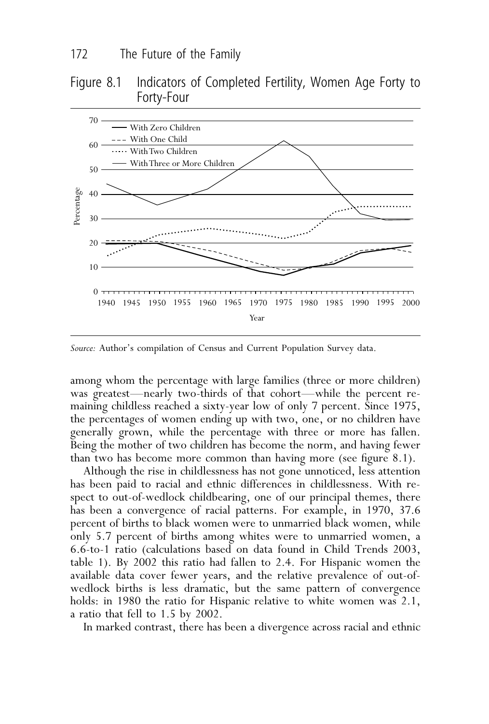### Figure 8.1 Indicators of Completed Fertility, Women Age Forty to Forty-Four



*Source:* Author's compilation of Census and Current Population Survey data.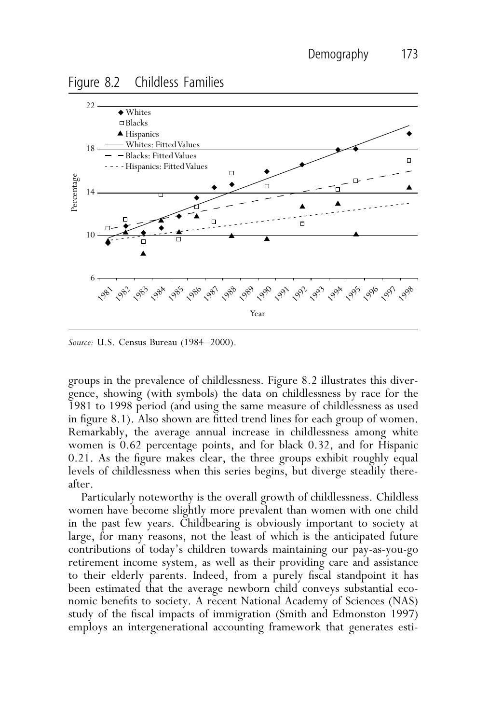Figure 8.2 Childless Families



*Source:* U.S. Census Bureau (1984–2000).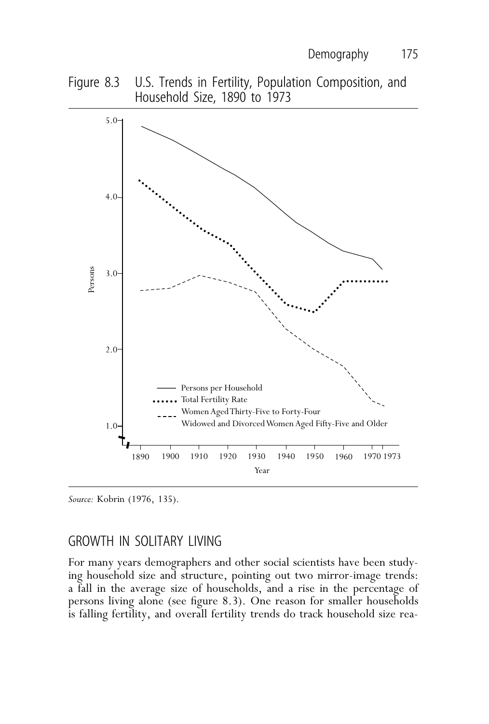



*Source:* Kobrin (1976, 135).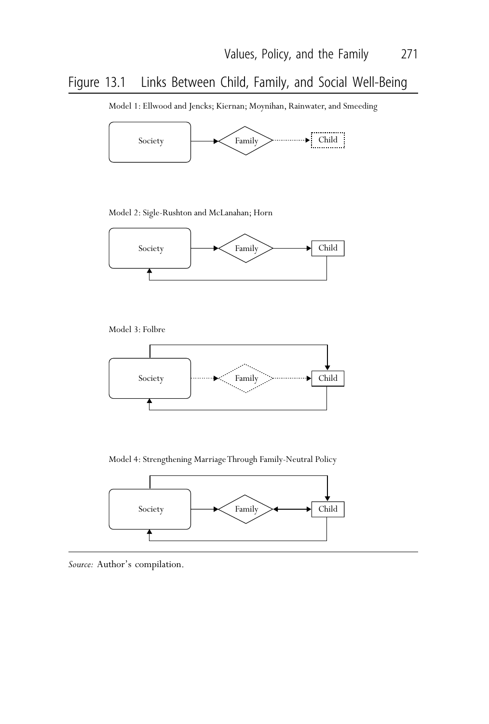# Figure 13.1 Links Between Child, Family, and Social Well-Being

Model 1: Ellwood and Jencks; Kiernan; Moynihan, Rainwater, and Smeeding



Model 2: Sigle-Rushton and McLanahan; Horn



Model 3: Folbre



Model 4: Strengthening Marriage Through Family-Neutral Policy



*Source:* Author's compilation.